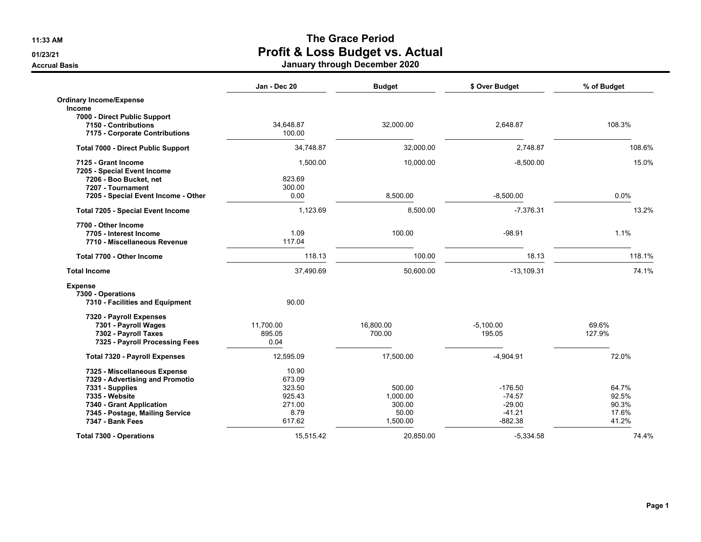**11:33 AM**

**01/23/21**

**Accrual Basis**

## **The Grace Period Profit & Loss Budget vs. Actual January through December 2020**

|                                           | Jan - Dec 20 | <b>Budget</b> | \$ Over Budget | % of Budget |
|-------------------------------------------|--------------|---------------|----------------|-------------|
| <b>Ordinary Income/Expense</b>            |              |               |                |             |
| Income                                    |              |               |                |             |
| 7000 - Direct Public Support              |              |               |                |             |
| 7150 - Contributions                      | 34,648.87    | 32,000.00     | 2,648.87       | 108.3%      |
| 7175 - Corporate Contributions            | 100.00       |               |                |             |
| <b>Total 7000 - Direct Public Support</b> | 34,748.87    | 32,000.00     | 2,748.87       | 108.6%      |
| 7125 - Grant Income                       | 1,500.00     | 10,000.00     | $-8,500.00$    | 15.0%       |
| 7205 - Special Event Income               |              |               |                |             |
| 7206 - Boo Bucket, net                    | 823.69       |               |                |             |
| 7207 - Tournament                         | 300.00       |               |                |             |
| 7205 - Special Event Income - Other       | 0.00         | 8,500.00      | $-8,500.00$    | 0.0%        |
| <b>Total 7205 - Special Event Income</b>  | 1,123.69     | 8,500.00      | $-7,376.31$    | 13.2%       |
| 7700 - Other Income                       |              |               |                |             |
| 7705 - Interest Income                    | 1.09         | 100.00        | $-98.91$       | 1.1%        |
| 7710 - Miscellaneous Revenue              | 117.04       |               |                |             |
| Total 7700 - Other Income                 | 118.13       | 100.00        | 18.13          | 118.1%      |
| <b>Total Income</b>                       | 37,490.69    | 50,600.00     | $-13,109.31$   | 74.1%       |
| <b>Expense</b>                            |              |               |                |             |
| 7300 - Operations                         |              |               |                |             |
| 7310 - Facilities and Equipment           | 90.00        |               |                |             |
| 7320 - Payroll Expenses                   |              |               |                |             |
| 7301 - Payroll Wages                      | 11,700.00    | 16,800.00     | $-5.100.00$    | 69.6%       |
| 7302 - Payroll Taxes                      | 895.05       | 700.00        | 195.05         | 127.9%      |
| 7325 - Payroll Processing Fees            | 0.04         |               |                |             |
| <b>Total 7320 - Payroll Expenses</b>      | 12,595.09    | 17,500.00     | $-4,904.91$    | 72.0%       |
| 7325 - Miscellaneous Expense              | 10.90        |               |                |             |
| 7329 - Advertising and Promotio           | 673.09       |               |                |             |
| 7331 - Supplies                           | 323.50       | 500.00        | $-176.50$      | 64.7%       |
| 7335 - Website                            | 925.43       | 1,000.00      | $-74.57$       | 92.5%       |
| 7340 - Grant Application                  | 271.00       | 300.00        | $-29.00$       | 90.3%       |
| 7345 - Postage, Mailing Service           | 8.79         | 50.00         | $-41.21$       | 17.6%       |
| 7347 - Bank Fees                          | 617.62       | 1,500.00      | $-882.38$      | 41.2%       |
| <b>Total 7300 - Operations</b>            | 15.515.42    | 20.850.00     | $-5,334.58$    | 74.4%       |